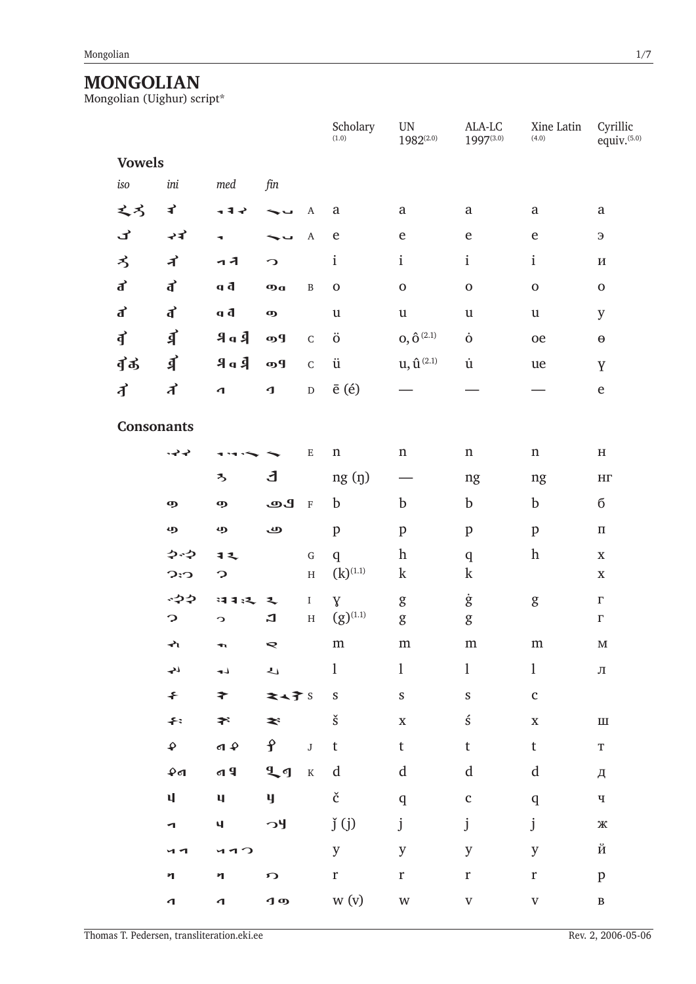# $\label{eq:monod} \underset{\text{Mongolian (Uighur) script}^*}{\text{MOMGOLIAN}}$

|                      |                         |                           |                         |                         | Scholary<br>(1.0)          | $\ensuremath{\text{UN}}$<br>$1982^{(2.0)}$ | ALA-LC<br>1997(3.0)       | Xine Latin<br>(4.0)       | Cyrillic<br>equiv. <sup>(5.0)</sup> |
|----------------------|-------------------------|---------------------------|-------------------------|-------------------------|----------------------------|--------------------------------------------|---------------------------|---------------------------|-------------------------------------|
| <b>Vowels</b>        |                         |                           |                         |                         |                            |                                            |                           |                           |                                     |
| iso                  | ini                     | med                       | fin                     |                         |                            |                                            |                           |                           |                                     |
| えろ                   | ₹                       | ィキャ                       |                         | A                       | $\rm{a}$                   | a                                          | $\rm{a}$                  | $\mathbf{a}$              | $\mathbf{a}$                        |
| ゴ                    | へす                      | ٠                         |                         | $\boldsymbol{\rm{A}}$   | $\mathbf e$                | ${\bf e}$                                  | ${\bf e}$                 | ${\bf e}$                 | Э                                   |
| ろ                    | ず                       | ュオ                        | $\Omega$                |                         | $\mathbf{i}$               | $\mathbf{i}$                               | $\rm i$                   | $\rm i$                   | И                                   |
| ď                    | ď                       | b p                       | $\boldsymbol{\Phi}$     | $\, {\bf B}$            | $\mathbf 0$                | $\mathbf 0$                                | $\mathbf 0$               | $\mathbf 0$               | $\mathbf 0$                         |
| $\overrightarrow{d}$ | ď                       | h p                       | $\boldsymbol{\Theta}$   |                         | $\mathbf u$                | $\ensuremath{\mathsf{u}}$                  | $\ensuremath{\mathsf{u}}$ | $\ensuremath{\mathsf{u}}$ | $\mathbf y$                         |
| $\vec{q}$            | 引                       | 9a                        | ŋЯ                      | ${\bf C}$               | $\ddot{\text{o}}$          | $\mathbf{0}, \mathbf{\hat{O}}^{\,(2.1)}$   | $\dot{o}$                 | oe                        | $\pmb{\Theta}$                      |
| ずぁ                   | 引                       | 9a                        | ŋЯ                      | $\mathsf C$             | ü                          | $u, \hat{u}^{(2,1)}$                       | $\dot{\text{u}}$          | ue                        | Y                                   |
| ず                    | ず                       | $\mathbf \sigma$          | $\mathbf 1$             | $\mathbf D$             | $\bar{e}$ $(\acute{e})$    |                                            |                           |                           | $\mathbf e$                         |
| <b>Consonants</b>    |                         |                           |                         |                         |                            |                                            |                           |                           |                                     |
|                      |                         |                           |                         |                         |                            |                                            |                           |                           |                                     |
|                      | $\leftrightarrow$       |                           |                         | ${\bf E}$               | $\mathbf n$                | $\mathbf n$                                | $\mathbf n$               | $\mathbf n$               | $\, {\rm H}$                        |
|                      |                         | $\boldsymbol{z}$          | J,                      |                         | ng <sub>(1)</sub>          |                                            | ng                        | ng                        | $\mathbf{H}\Gamma$                  |
|                      | ஒ                       | $\boldsymbol{\Phi}$       | ூ                       | $\mathbf F$             | $\mathbf b$                | $\mathbf b$                                | b                         | $\mathbf b$               | б                                   |
|                      | மு                      | ழ                         | ڡ                       |                         | $\mathbf{p}$               | $\, {\bf p}$                               | $\mathbf{p}$              | $\, {\bf p}$              | $\boldsymbol{\Pi}$                  |
|                      | やや                      | 12                        |                         | $\mathbf G$             | q                          | $\boldsymbol{\mathrm{h}}$                  | $\mathbf q$               | $\boldsymbol{\text{h}}$   | $\mathbf X$                         |
|                      | $C$ : $C$               | ာ                         |                         | $\rm H$                 | $(k)^{(1,1)}$              | $\mathbf k$                                | $\mathbf k$               |                           | $\mathbf X$                         |
|                      | ふつや<br>ာ                | ほすえ<br>C                  | $\mathbf{z}$<br>그       | $\rm I$<br>$\, {\rm H}$ | $\bar{Y}$<br>$(g)^{(1.1)}$ | g<br>$\mathbf g$                           | ġ<br>$\mathbf g$          | $\mathbf g$               | $\Gamma$<br>$\Gamma$                |
|                      | ক                       |                           | $\blacktriangleright$   |                         | ${\rm m}$                  | ${\rm m}$                                  | ${\rm m}$                 | ${\rm m}$                 | $\mathbf M$                         |
|                      | $\overline{\mathbf{r}}$ | $\mathsf{L}_{\mathbf{P}}$ | $\overline{\mathbf{L}}$ |                         | $\mathbf{1}$               | $\mathbf{1}$                               | $\mathbf{1}$              | $\mathbf{1}$              | Л                                   |
|                      | $\leftarrow$            | $\blacktriangleright$     | 24子5                    |                         | S                          | S                                          | $\boldsymbol{\mathsf{S}}$ | $\mathbf{c}$              |                                     |
|                      | $\div$                  | ネー                        | $\tilde{\mathbf{z}}$    |                         | $\check{\textrm{s}}$       | $\mathbf X$                                | ś                         | $\mathbf X$               | $\rm III$                           |
|                      | $\mathbf{\hat{P}}$      | $\mathbf{A}$              | $\hat{\mathbf{f}}$      | $\bf J$                 | $\mathsf t$                | t                                          | $\mathsf t$               | $\mathsf t$               | $\mathbf T$                         |
|                      | 40                      | $q \vert q$               | 99                      | $\rm K$                 | $\operatorname{d}$         | $\mathbf d$                                | $\mathbf d$               | $\rm d$                   |                                     |
|                      | $\mathbf{u}$            | $\mathbf{u}$              | y.                      |                         | $\check{\rm c}$            |                                            |                           |                           | Д                                   |
|                      |                         |                           |                         |                         |                            | $\mathbf{q}$                               | $\mathbf{C}$              | $\mathbf q$               | $\mathbf{q}$                        |
|                      | $\blacksquare$          | $\mathbf{q}$              | $\sim$                  |                         | j(j)                       | j                                          | $\mathbf{j}$              | $\mathbf{j}$              | Ж                                   |
|                      | и 1                     | 410                       |                         |                         | $\mathbf y$                | y                                          | y                         | $\mathbf y$               | й                                   |
|                      | η                       | $\eta$                    | $\Omega$                |                         | r                          | $\mathbf r$                                | $\mathbf r$               | $\mathbf r$               | $\, {\bf p}$                        |
|                      | $\mathbf 1$             | $\mathbf{d}$              | $\overline{1}$ $\sigma$ |                         | W <sub>(V)</sub>           | $\ensuremath{\text{W}}\xspace$             | $\mathbf V$               | $\mathbf V$               | $\, {\bf B}$                        |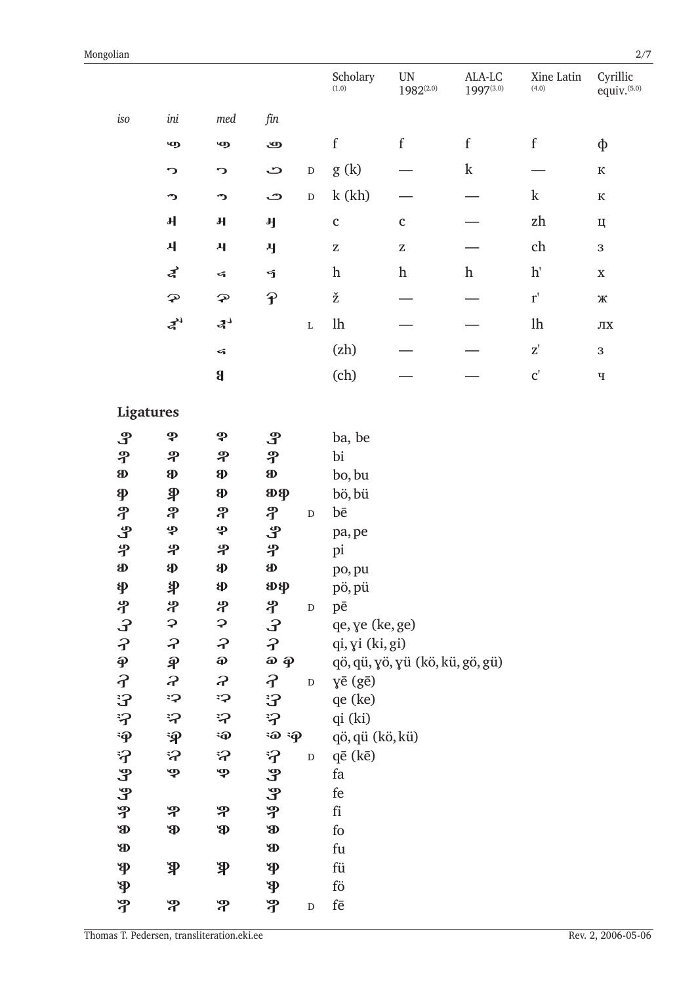|                                     |                            |                           |                                           |             | Scholary<br>(1.0)            | UN<br>$1982^{(2.0)}$            | ALA-LC<br>$1997^{(3.0)}$ | Xine Latin<br>(4.0)                 | Cyrillic<br>equiv. <sup>(5.0)</sup> |
|-------------------------------------|----------------------------|---------------------------|-------------------------------------------|-------------|------------------------------|---------------------------------|--------------------------|-------------------------------------|-------------------------------------|
| iso                                 | ini                        | med                       | fin                                       |             |                              |                                 |                          |                                     |                                     |
|                                     | மு                         | மு                        | ஆ                                         |             | $\mathbf f$                  | $\mathbf f$                     | $\mathbf f$              | $\mathbf f$                         | ф                                   |
|                                     | C                          | ാ                         | ت                                         | $\mathbf D$ | g(k)                         |                                 | $\mathbf k$              |                                     | ${\bf K}$                           |
|                                     | າ                          | າ                         | م                                         | $\mathbf D$ | k(kh)                        |                                 |                          | $\mathbf k$                         | ${\bf K}$                           |
|                                     | $\pmb{\mathsf{H}}$         | $\mathbf{H}$              | <b>H</b>                                  |             | $\mathbf{C}$                 | $\mathbf{c}$                    |                          | $\mathbf{z}\mathbf{h}$              | Ц                                   |
|                                     | 사                          | $\mathbf{H}$              | Ŋ                                         |             | $\mathbf Z$                  | $\mathbf Z$                     |                          | ch                                  | 3                                   |
|                                     | ⋠                          | $\leq$                    | ។                                         |             | $\boldsymbol{\mathrm{h}}$    | $\,h$                           | $\boldsymbol{\text{h}}$  | $\mathbf{h}'$                       | $\mathbf X$                         |
|                                     | $\boldsymbol{\mathcal{P}}$ | $\mathbf{P}$              | $\hat{\mathbf{f}}$                        |             | ž                            |                                 |                          | $\mathbf{r}'$                       | Ж                                   |
|                                     | $\boldsymbol{z}^{\prime}$  | 4 <sup>1</sup>            |                                           | $\mathbf L$ | $1\mathrm{h}$                |                                 |                          | $1\mathrm{h}$                       | $J\!I X$                            |
|                                     |                            | $\leq$                    |                                           |             | (zh)                         |                                 |                          | $\mathbf{Z}^\prime$                 | 3                                   |
|                                     |                            | $\boldsymbol{\mathsf{g}}$ |                                           |             | (ch)                         |                                 |                          | $\textbf{C}^\textnormal{\text{!`}}$ | $\mathbf{q}$                        |
| Ligatures                           |                            |                           |                                           |             |                              |                                 |                          |                                     |                                     |
| $\mathbf{P}$                        | ዎ                          | ф                         | ஆ                                         |             | ba, be                       |                                 |                          |                                     |                                     |
| ዋ                                   | ዋ                          | ዋ                         | ዋ                                         |             | bi                           |                                 |                          |                                     |                                     |
| $\bf{a}$                            | $\bf{p}$                   | Ф                         | $\bf{B}$                                  |             | bo, bu                       |                                 |                          |                                     |                                     |
| $\boldsymbol{\varphi}$              | $\mathbf{\mathfrak{P}}$    | Ф                         | $\mathbf{p}$                              |             | bö, bü                       |                                 |                          |                                     |                                     |
| ቶ                                   | ቶ                          | ቶ                         | ቶ                                         | ${\rm D}$   | $b\bar{e}$                   |                                 |                          |                                     |                                     |
| ပို                                 | φ                          | φ                         | ပို                                       |             | pa, pe                       |                                 |                          |                                     |                                     |
| 孕                                   | 孕                          | 斗                         | ዏ                                         |             | pi                           |                                 |                          |                                     |                                     |
| <b>SD</b>                           | $\mathbf{\Phi}$            | Ф                         | <b>SP</b>                                 |             | po, pu                       |                                 |                          |                                     |                                     |
| φ                                   | 乳                          | \$                        | கு                                        |             | pö, pü                       |                                 |                          |                                     |                                     |
| ሃ                                   | ቶ                          | ቶ                         | ሃ                                         | $\mathbf D$ | pē                           |                                 |                          |                                     |                                     |
| ာ<br>၁<br>၁                         | $\boldsymbol{\varphi}$     | $\mathbf{C}$              | $\mathbf{S}$                              |             | qe, ye (ke, ge)              |                                 |                          |                                     |                                     |
|                                     | $\boldsymbol{z}$           | $\boldsymbol{z}$          | $\boldsymbol{\hat{J}}$                    |             | qi, yi (ki, gi)              |                                 |                          |                                     |                                     |
| $\boldsymbol{\varphi}$              | $\widehat{\mathcal{P}}$    | $\boldsymbol{\varphi}$    | $\boldsymbol{\omega}$ $\boldsymbol{\phi}$ |             |                              | qö, qü, yö, yü (kö, kü, gö, gü) |                          |                                     |                                     |
| $\overline{f}$                      | $\boldsymbol{z}$           | $\boldsymbol{z}$          | $\mathcal{L}$                             | ${\rm D}$   | yē (gē)                      |                                 |                          |                                     |                                     |
| <b>3</b>                            | Ç:                         | းှာ                       | 3                                         |             | qe (ke)                      |                                 |                          |                                     |                                     |
| 汐                                   | ဘု                         | ら<br>$\ddot{\mathbf{p}}$  | 汐<br>$\ddot{a}$ $\ddot{q}$                |             | qi (ki)                      |                                 |                          |                                     |                                     |
| $\ddot{\mathbf{p}}$<br>$\mathbf{f}$ | $\ddot{\mathbf{P}}$<br>;ှ  | ှာ                        | $\mathbf{S}$                              |             | qö, qü (kö, kü)<br>qē (kē)   |                                 |                          |                                     |                                     |
| ச                                   | ዋ                          | ዎ                         | Ъ                                         | ${\rm D}$   | fa                           |                                 |                          |                                     |                                     |
| ዊ                                   |                            |                           | Ъ                                         |             | fe                           |                                 |                          |                                     |                                     |
| ዋ                                   | ዋ                          | ዋ                         | ዋ                                         |             | $\operatorname{fi}$          |                                 |                          |                                     |                                     |
| <b>B</b>                            | <b>P</b>                   | <b>P</b>                  | <b>B</b>                                  |             | ${\rm fo}$                   |                                 |                          |                                     |                                     |
| <b>B</b>                            |                            |                           | <b>B</b>                                  |             | fu                           |                                 |                          |                                     |                                     |
| $\mathbf{\Phi}$                     | $\mathbf{P}$               | $\mathbf{P}$              | $\mathbf{\Phi}$                           |             | fü                           |                                 |                          |                                     |                                     |
| $\mathbf{\Phi}$                     |                            |                           | $\mathbf{\Phi}$                           |             | $f\ddot{o}$                  |                                 |                          |                                     |                                     |
| ግ                                   | နှ                         | ዋ                         | ግ                                         | $\mathbf D$ | $\mathrm{f}\bar{\mathrm{e}}$ |                                 |                          |                                     |                                     |
|                                     |                            |                           |                                           |             |                              |                                 |                          |                                     |                                     |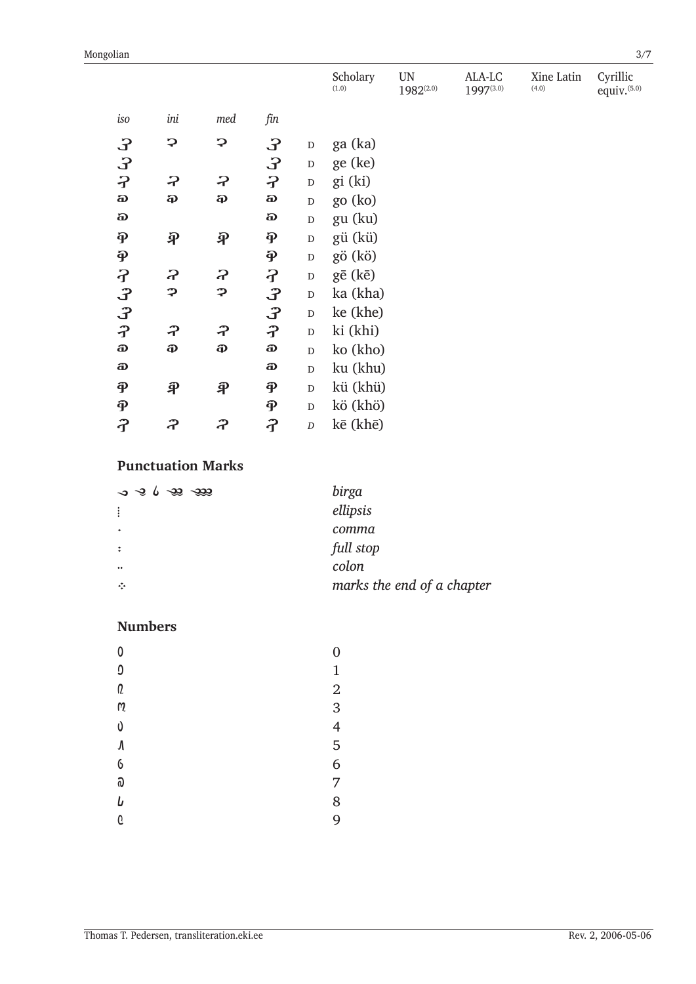|                         |                         |                           |                        |                  | Scholary<br>(1.0) | <b>UN</b><br>1982(2.0) | ALA-LC<br>1997(3.0) | Xine Latin<br>(4.0) | Cyrillic<br>equiv. $(5.0)$ |
|-------------------------|-------------------------|---------------------------|------------------------|------------------|-------------------|------------------------|---------------------|---------------------|----------------------------|
| $\it iso$               | ini                     | med                       | fin                    |                  |                   |                        |                     |                     |                            |
| $\mathcal{E}$           | っ                       | ှာ                        | £                      | ${\rm D}$        | ga (ka)           |                        |                     |                     |                            |
| $\mathbf{S}$            |                         |                           | £                      | ${\rm D}$        | ge (ke)           |                        |                     |                     |                            |
| $\overline{\mathbf{z}}$ | っ                       | っ                         | $\mathcal{P}$          | ${\bf D}$        | gi (ki)           |                        |                     |                     |                            |
| $\pmb{\hat{\omega}}$    | $\boldsymbol{\Omega}$   | $\boldsymbol{\hat{\Phi}}$ | a,                     | $\mathbf D$      | go (ko)           |                        |                     |                     |                            |
| a)                      |                         |                           | a.                     | $\mathbf D$      | gu (ku)           |                        |                     |                     |                            |
| $\boldsymbol{\varphi}$  | $\hat{\mathcal{P}}$     | $\widehat{\mathcal{F}}$   | $\mathbf{\Phi}$        | ${\rm D}$        | gü (kü)           |                        |                     |                     |                            |
| $\ddot{\mathbf{p}}$     |                         |                           | $\hat{\mathbf{P}}$     | ${\rm D}$        | gö (kö)           |                        |                     |                     |                            |
|                         | ဥ                       | ဥ                         | $\mathcal{F}$          | $\mathbf D$      | gē (kē)           |                        |                     |                     |                            |
| そうっ                     | φ                       | φ                         | 3                      | ${\bf D}$        | ka (kha)          |                        |                     |                     |                            |
|                         |                         |                           | კ                      | ${\rm D}$        | ke (khe)          |                        |                     |                     |                            |
| $\hat{\mathbf{r}}$      | ぞ                       | ぞ                         | $\boldsymbol{\hat{J}}$ | ${\bf D}$        | ki (khi)          |                        |                     |                     |                            |
| O                       | Ф                       | Ф                         | O                      | ${\bf D}$        | ko (kho)          |                        |                     |                     |                            |
| O                       |                         |                           | O                      | $\overline{D}$   | ku (khu)          |                        |                     |                     |                            |
| $\hat{\mathbf{P}}$      | $\widehat{\mathcal{P}}$ | $\widehat{\mathcal{F}}$   | $\hat{\mathbf{P}}$     | $\mathbf D$      | kü (khü)          |                        |                     |                     |                            |
| $\hat{\mathbf{P}}$      |                         |                           | $\widehat{\mathbf{P}}$ | ${\rm D}$        | kö (khö)          |                        |                     |                     |                            |
| $\hat{\mathbf{f}}$      | ဥ                       | ဥ                         | $\hat{\mathbf{f}}$     | $\boldsymbol{D}$ | kē (khē)          |                        |                     |                     |                            |

## **Punctuation Marks**

| $\sim$ $\sim$ $\sim$ $\sim$ $\sim$ $\sim$ $\sim$ $\sim$ | birga                      |
|---------------------------------------------------------|----------------------------|
| :                                                       | ellipsis                   |
| ۰                                                       | comma                      |
| ÷                                                       | full stop                  |
| $\bullet\bullet$                                        | colon                      |
| ÷                                                       | marks the end of a chapter |

## **Numbers**

| 0            | $\overline{0}$ |
|--------------|----------------|
| Û            | $\mathbf 1$    |
| Q            | $\overline{2}$ |
| $\mathsf{M}$ | 3              |
| Ù            | 4              |
| $\sqrt{2}$   | 5              |
| 6            | 6              |
| ົລ           | 7              |
| b            | 8              |
| G            | 9              |
|              |                |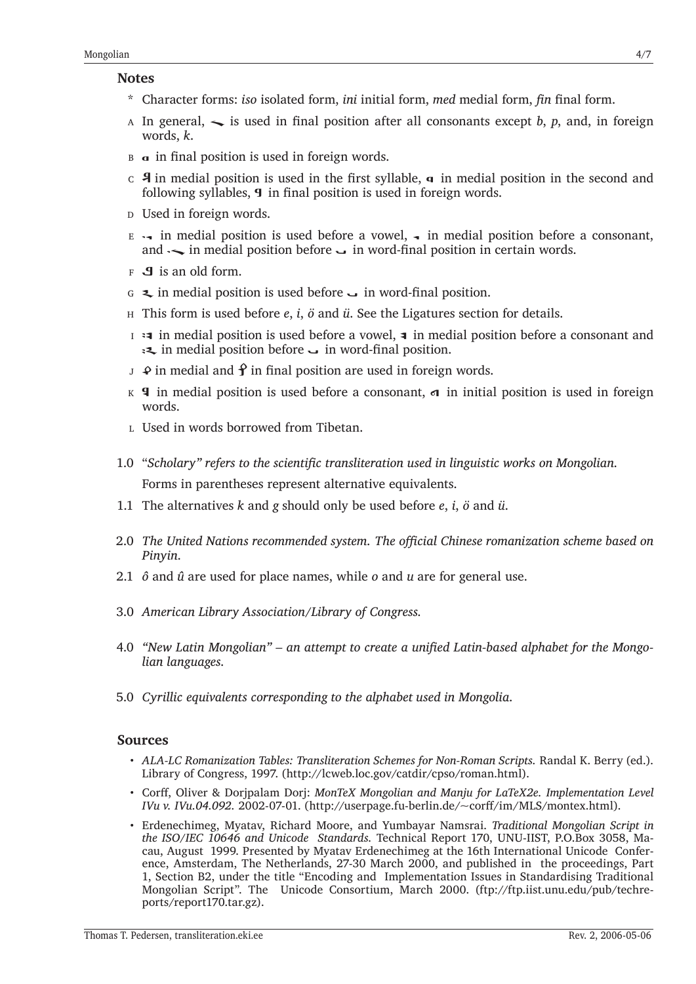#### **Notes**

- \* Character forms: *iso* isolated form, *ini* initial form, *med* medial form, *�n* �nal form.
- A In general,  $\sim$  is used in final position after all consonants except *b*, *p*, and, in foreign words, *k*.
- $B \alpha$  in final position is used in foreign words.
- $\epsilon$  4 in medial position is used in the first syllable, **q** in medial position in the second and following syllables,  $\boldsymbol{9}$  in final position is used in foreign words.
- D Used in foreign words.
- $E \rightarrow$  in medial position is used before a vowel,  $\rightarrow$  in medial position before a consonant, and  $\sim$  in medial position before  $\sim$  in word-final position in certain words.
- $F \cdot \mathbf{J}$  is an old form.
- G  $\leq$  in medial position is used before  $\sim$  in word-final position.
- H This form is used before *e*, *i*, *ö* and *ü*. See the Ligatures section for details.
- $\overline{I}$  in medial position is used before a vowel, **a** in medial position before a consonant and in medial position before  $\overline{\phantom{a}}$  in word-final position.
- $J \cdot \mathcal{Q}$  in medial and  $\mathcal{Q}$  in final position are used in foreign words.
- K **4** in medial position is used before a consonant,  $\sigma$  in initial position is used in foreign words.
- L Used in words borrowed from Tibetan.
- 1.0 "*Scholary" refers to the scienti�c transliteration used in linguistic works on Mongolian.* Forms in parentheses represent alternative equivalents.
- 1.1 The alternatives *k* and *g* should only be used before *e*, *i*, *ö* and *ü*.
- 2.0 *The United Nations recommended system. The o�cial Chinese romanization scheme based on Pinyin.*
- 2.1 *ô* and *û* are used for place names, while *o* and *u* are for general use.
- 3.0 *American Library Association/Library of Congress.*
- 4.0 "New Latin Mongolian" an attempt to create a unified Latin-based alphabet for the Mongo*lian languages.*
- 5.0 *Cyrillic equivalents corresponding to the alphabet used in Mongolia.*

### **Sources**

- *ALA-LC Romanization Tables: Transliteration Schemes for Non-Roman Scripts. Randal K. Berry (ed.).* Library of Congress, 1997. (<http://lcweb.loc.gov/catdir/cpso/roman.html>).
- Cor�, Oliver & Dorjpalam Dorj: *MonTeX Mongolian and Manju for LaTeX2e. Implementation Level IVu v. IVu.04.092.* 2002-07-01. ([http://userpage.fu-berlin.de/~cor�/im/MLS/montex.html\)](http://userpage.fu-berlin.de/~corff/im/MLS/montex.html).
- Erdenechimeg, Myatav, Richard Moore, and Yumbayar Namsrai. *Traditional Mongolian Script in the ISO/IEC 10646 and Unicode Standards.* Technical Report 170, UNU-IIST, P.O.Box 3058, Macau, August 1999. Presented by Myatav Erdenechimeg at the 16th International Unicode Conference, Amsterdam, The Netherlands, 27-30 March 2000, and published in the proceedings, Part 1, Section B2, under the title "Encoding and Implementation Issues in Standardising Traditional Mongolian Script". The Unicode Consortium, March 2000. [\(ftp://ftp.iist.unu.edu/pub/techre](ftp://ftp.iist.unu.edu/pub/techreports/report170.tar.gz)[ports/report170.tar.gz](ftp://ftp.iist.unu.edu/pub/techreports/report170.tar.gz)).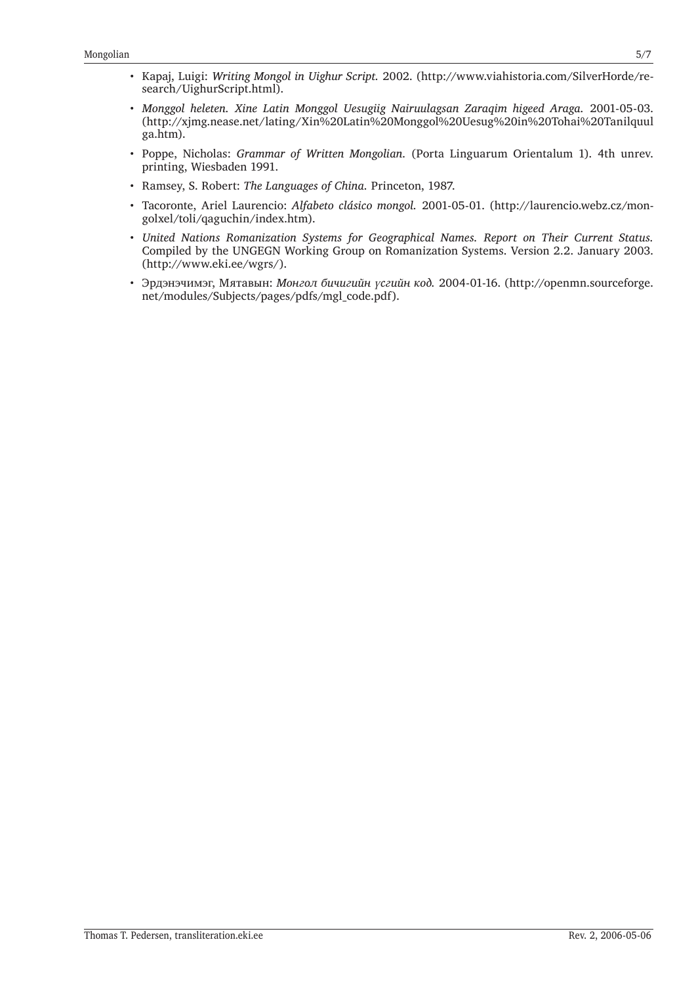- Kapaj, Luigi: *Writing Mongol in Uighur Script.* 2002. [\(http://www.viahistoria.com/SilverHorde/re](http://www.viahistoria.com/SilverHorde/research/UighurScript.html)[search/UighurScript.html](http://www.viahistoria.com/SilverHorde/research/UighurScript.html)).
- *Monggol heleten. Xine Latin Monggol Uesugiig Nairuulagsan Zaraqim higeed Araga.* 2001-05-03. ([http://xjmg.nease.net/lating/Xin%20Latin%20Monggol%20Uesug%20in%20Tohai%20Tanilquul](http://xjmg.nease.net/lating/Xin%20Latin%20Monggol%20Uesug%20in%20Tohai%20Tanilquulga.htm) [ga.htm](http://xjmg.nease.net/lating/Xin%20Latin%20Monggol%20Uesug%20in%20Tohai%20Tanilquulga.htm)).
- Poppe, Nicholas: *Grammar of Written Mongolian.* (Porta Linguarum Orientalum 1). 4th unrev. printing, Wiesbaden 1991.
- Ramsey, S. Robert: *The Languages of China.* Princeton, 1987.
- Tacoronte, Ariel Laurencio: *Alfabeto clásico mongol.* 2001-05-01. ([http://laurencio.webz.cz/mon](http://laurencio.webz.cz/mongolxel/toli/qaguchin/index.htm)[golxel/toli/qaguchin/index.htm](http://laurencio.webz.cz/mongolxel/toli/qaguchin/index.htm)).
- *United Nations Romanization Systems for Geographical Names. Report on Their Current Status.*  Compiled by the UNGEGN Working Group on Romanization Systems. Version 2.2. January 2003. ([http://www.eki.ee/wgrs/\)](http://www.eki.ee/wgrs/).
- Эрдэнэчимэг, Мятавын: *Монгол бичигийн үсгийн код.* 2004-01-16. ([http://openmn.sourceforge.](http://openmn.sourceforge.net/modules/Subjects/pages/pdfs/mgl_code.pdf) [net/modules/Subjects/pages/pdfs/mgl\\_code.pdf](http://openmn.sourceforge.net/modules/Subjects/pages/pdfs/mgl_code.pdf)).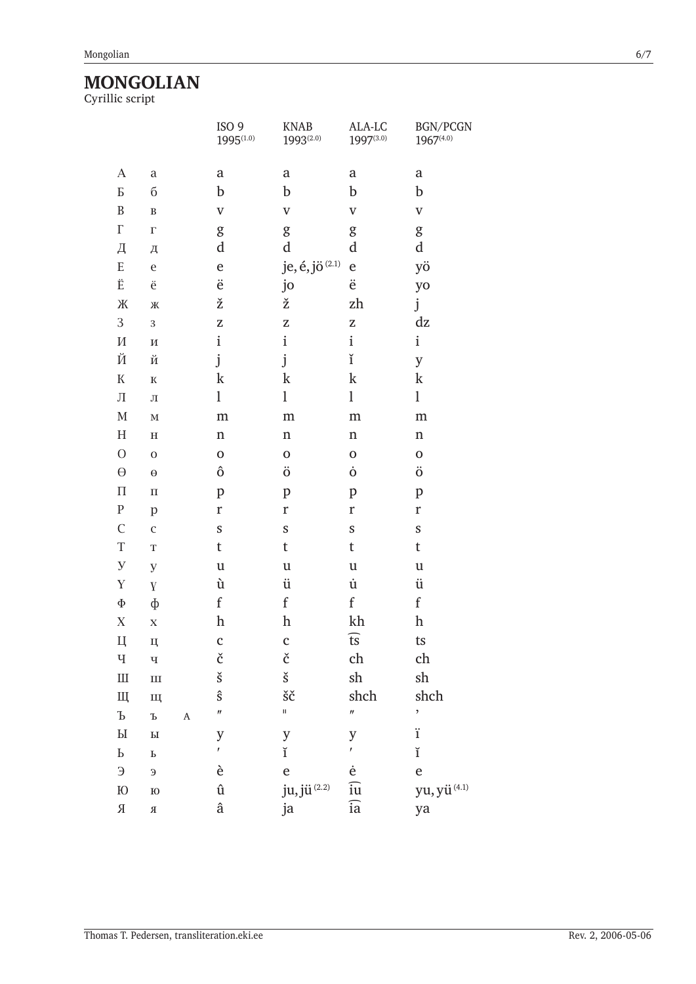# $\label{eq:monodrom} \underset{\text{Cyrillic script}}{\text{MONGOLIAN}}$

|                           |                           |                       | ISO <sub>9</sub><br>$1995^{(1.0)}$ | <b>KNAB</b><br>$1993^{(2.0)}$               | ALA-LC<br>1997(3.0)     | BGN/PCGN<br>1967(4.0)       |
|---------------------------|---------------------------|-----------------------|------------------------------------|---------------------------------------------|-------------------------|-----------------------------|
| $\mathbf{A}$              | $\rm{a}$                  |                       | a                                  | $\mathbf a$                                 | a                       | a                           |
| $\rm{E}$                  | $\sigma$                  |                       | b                                  | $\mathbf b$                                 | b                       | b                           |
| $\, {\bf B}$              | $\, {\bf B}$              |                       | $\boldsymbol{\mathrm{V}}$          | $\mathbf V$                                 | $\mathbf V$             | $\mathbf V$                 |
| $\Gamma$                  | $\Gamma$                  |                       | g                                  | g                                           | g                       | g                           |
| Д                         | Д                         |                       | d                                  | d                                           | d                       | d                           |
| ${\bf E}$                 | $\mathbf e$               |                       | e                                  | je, é, jö $^{(2.1)}$                        | e                       | yö                          |
| Ë                         | ë                         |                       | ë                                  | jo                                          | ë                       | yo                          |
| Ж                         | Ж                         |                       | ž                                  | ž                                           | zh                      | j                           |
| 3                         | $\,$ 3 $\,$               |                       | Z                                  | Z                                           | Z                       | dz                          |
| $\boldsymbol{\mathit{M}}$ | $\boldsymbol{\mathit{M}}$ |                       | $\mathbf{i}$                       | $\mathbf i$                                 | $\mathbf{i}$            | $\mathbf{i}$                |
| Й                         | Й                         |                       | j                                  | j                                           | ĭ                       | y                           |
| $\mathbf K$               | ${\bf K}$                 |                       | $\mathbf k$                        | $\mathbf k$                                 | $\mathbf k$             | k                           |
| $\prod$                   | Л                         |                       | l                                  | $\mathbf 1$                                 | l                       | $\mathbf{l}$                |
| $\mathbf M$               | $\mathbf M$               |                       | ${\rm m}$                          | ${\rm m}$                                   | m                       | ${\rm m}$                   |
| $H_{\rm}$                 | $\, {\bf H}$              |                       | n                                  | $\mathbf n$                                 | $\mathbf n$             | $\mathbf n$                 |
| $\mathcal{O}$             | $\boldsymbol{0}$          |                       | $\mathbf 0$                        | $\mathbf 0$                                 | $\mathbf 0$             | $\mathbf 0$                 |
| $\Theta$                  | $\Theta$                  |                       | ô                                  | ö                                           | Ò                       | ö                           |
| $\boldsymbol{\Pi}$        | $\boldsymbol{\Pi}$        |                       | $\mathbf p$                        | $\mathbf{p}$                                | $\mathbf{p}$            | $\mathbf{p}$                |
| ${\bf P}$                 | p                         |                       | r                                  | $\mathbf r$                                 | $\mathbf r$             | r                           |
| $\mathcal{C}$             | $\mathsf{C}$              |                       | S                                  | S                                           | S                       | ${\mathbb S}$               |
| $\mathbf T$               | $\mathbf T$               |                       | t                                  | t                                           | t                       | $\sf t$                     |
| $\mathbf{y}$              | $\mathbf y$               |                       | $\mathfrak u$                      | $\mathfrak u$                               | $\mathfrak u$           | $\ensuremath{\mathfrak{u}}$ |
| Y                         | $\mathbf{Y}$              |                       | ù                                  | ü                                           | $\dot{\text{u}}$        | ü                           |
| $\Phi$                    | ф                         |                       | $\mathbf f$                        | $\mathbf f$                                 | $\mathbf f$             | $\mathbf f$                 |
| $\mathbf X$               | $\mathbf X$               |                       | h                                  | $\boldsymbol{\mathrm{h}}$                   | kh                      | $\boldsymbol{\mathrm{h}}$   |
| Ц                         | Ц                         |                       | c                                  | C                                           | $\widehat{\mathsf{ts}}$ | ts                          |
| Ч                         | $\mathbf{q}$              |                       | č                                  | č                                           | ch                      | ch                          |
| $\rm{III}$                | $\mathbf{H}$              |                       | $\check{\textbf{s}}$               | $\check{\mathbf{s}}$                        | sh                      | sh                          |
| Щ                         | Щ                         |                       | ŝ                                  | šč                                          | shch                    | shch                        |
| $\mathbf b$               | $\mathbf T$               | $\boldsymbol{\rm{A}}$ | $\prime$                           | $\mathsf{H}^{\scriptscriptstyle\mathsf{L}}$ | $\boldsymbol{\theta}$   | $\overline{\phantom{a}}$    |
| $\rm{Pl}$                 | $\mathbf{P}\mathbf{I}$    |                       | y                                  | $\mathbf{y}$                                | y                       | ï                           |
| $\rm{P}$                  | $\mathbf P$               |                       | $\bar{t}$                          | ĭ                                           | $\mathbf{r}$            | ĭ                           |
| $\Theta$                  | $\theta$                  |                       | è                                  | $\mathbf{e}$                                | ė                       | $\mathbf e$                 |
| $\rm I\!O$                | ${\bf I0}$                |                       | û                                  | ju, jü $^{(2.2)}$                           | $\widehat{\mathrm{iu}}$ | yu, yü $\overset{(4.1)}{ }$ |
| $\mathbb R$               | $\mathbf R$               |                       | â                                  | ja                                          | $\overline{ia}$         | ya                          |